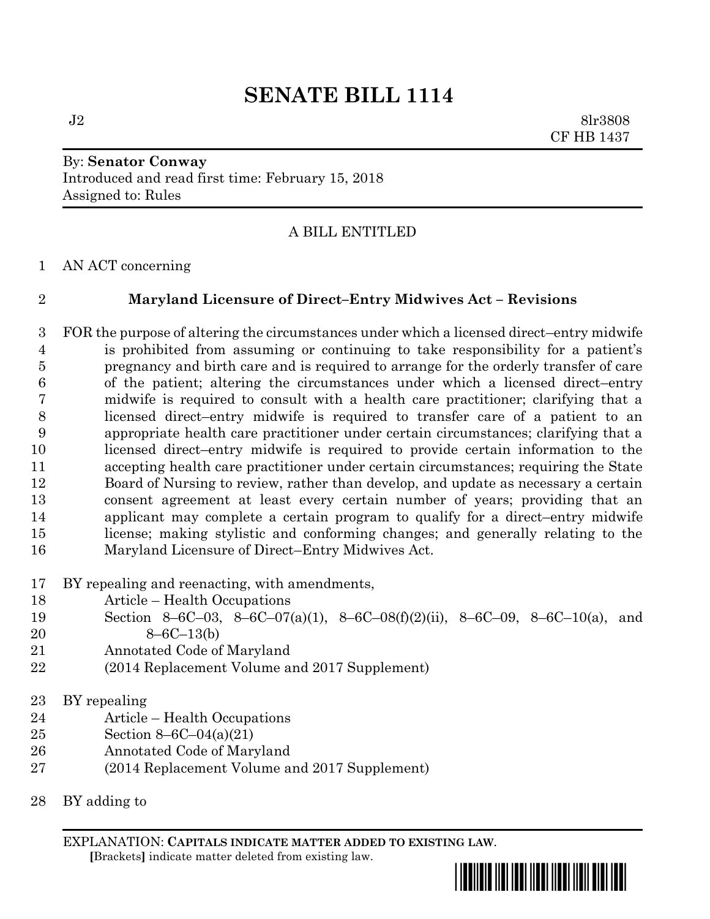# **SENATE BILL 1114**

 $J2 \qquad \qquad 8\text{lr}3808$ CF HB 1437

# By: **Senator Conway** Introduced and read first time: February 15, 2018 Assigned to: Rules

## A BILL ENTITLED

AN ACT concerning

### **Maryland Licensure of Direct–Entry Midwives Act – Revisions**

 FOR the purpose of altering the circumstances under which a licensed direct–entry midwife is prohibited from assuming or continuing to take responsibility for a patient's pregnancy and birth care and is required to arrange for the orderly transfer of care of the patient; altering the circumstances under which a licensed direct–entry midwife is required to consult with a health care practitioner; clarifying that a licensed direct–entry midwife is required to transfer care of a patient to an appropriate health care practitioner under certain circumstances; clarifying that a licensed direct–entry midwife is required to provide certain information to the accepting health care practitioner under certain circumstances; requiring the State Board of Nursing to review, rather than develop, and update as necessary a certain consent agreement at least every certain number of years; providing that an applicant may complete a certain program to qualify for a direct–entry midwife license; making stylistic and conforming changes; and generally relating to the Maryland Licensure of Direct–Entry Midwives Act.

- BY repealing and reenacting, with amendments,
- Article Health Occupations
- Section 8–6C–03, 8–6C–07(a)(1), 8–6C–08(f)(2)(ii), 8–6C–09, 8–6C–10(a), and
- 8–6C–13(b)
- Annotated Code of Maryland
- (2014 Replacement Volume and 2017 Supplement)
- BY repealing
- Article Health Occupations
- Section 8–6C–04(a)(21)
- Annotated Code of Maryland
- (2014 Replacement Volume and 2017 Supplement)
- BY adding to

EXPLANATION: **CAPITALS INDICATE MATTER ADDED TO EXISTING LAW**.  **[**Brackets**]** indicate matter deleted from existing law.

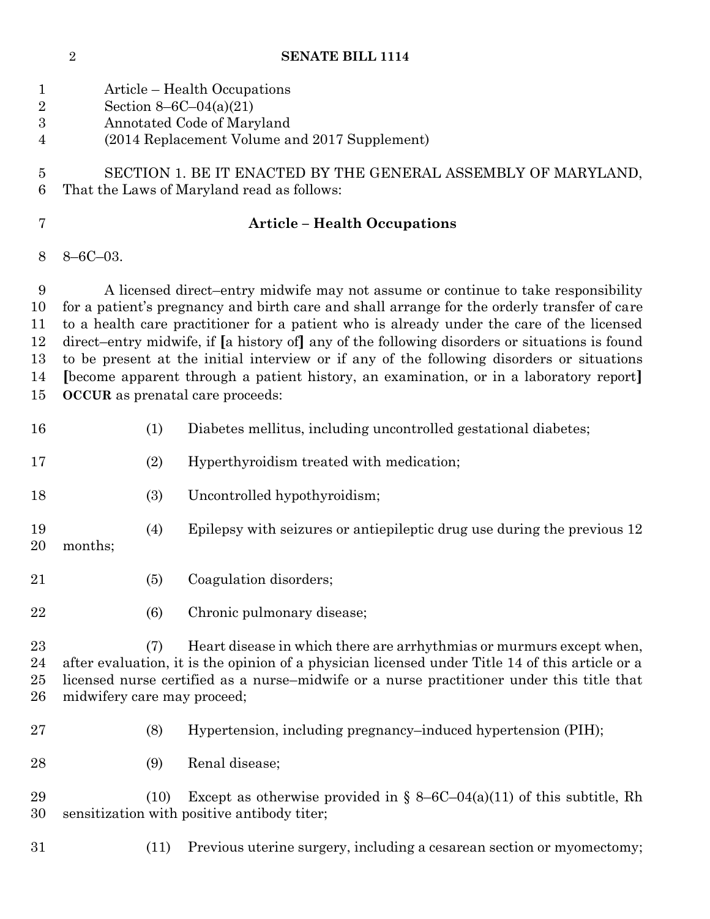| <b>SENATE BILL 1114</b> |
|-------------------------|
|                         |

| 1<br>$\overline{2}$<br>$\boldsymbol{3}$<br>$\overline{4}$ |                             |      | Article – Health Occupations<br>Section $8-6C-04(a)(21)$<br>Annotated Code of Maryland<br>(2014 Replacement Volume and 2017 Supplement)                                                                                                                                                                                                                                                                                                                                                                                                                                                                          |
|-----------------------------------------------------------|-----------------------------|------|------------------------------------------------------------------------------------------------------------------------------------------------------------------------------------------------------------------------------------------------------------------------------------------------------------------------------------------------------------------------------------------------------------------------------------------------------------------------------------------------------------------------------------------------------------------------------------------------------------------|
| 5<br>6                                                    |                             |      | SECTION 1. BE IT ENACTED BY THE GENERAL ASSEMBLY OF MARYLAND,<br>That the Laws of Maryland read as follows:                                                                                                                                                                                                                                                                                                                                                                                                                                                                                                      |
| 7                                                         |                             |      | <b>Article - Health Occupations</b>                                                                                                                                                                                                                                                                                                                                                                                                                                                                                                                                                                              |
| 8                                                         | $8 - 6C - 03$ .             |      |                                                                                                                                                                                                                                                                                                                                                                                                                                                                                                                                                                                                                  |
| 9<br>10<br>11<br>12<br>13<br>14<br>15                     |                             |      | A licensed direct-entry midwife may not assume or continue to take responsibility<br>for a patient's pregnancy and birth care and shall arrange for the orderly transfer of care<br>to a health care practitioner for a patient who is already under the care of the licensed<br>direct-entry midwife, if [a history of] any of the following disorders or situations is found<br>to be present at the initial interview or if any of the following disorders or situations<br>[become apparent through a patient history, an examination, or in a laboratory report]<br><b>OCCUR</b> as prenatal care proceeds: |
| 16                                                        |                             | (1)  | Diabetes mellitus, including uncontrolled gestational diabetes;                                                                                                                                                                                                                                                                                                                                                                                                                                                                                                                                                  |
| 17                                                        |                             | (2)  | Hyperthyroidism treated with medication;                                                                                                                                                                                                                                                                                                                                                                                                                                                                                                                                                                         |
| 18                                                        |                             | (3)  | Uncontrolled hypothyroidism;                                                                                                                                                                                                                                                                                                                                                                                                                                                                                                                                                                                     |
| 19<br>20                                                  | months;                     | (4)  | Epilepsy with seizures or antiepileptic drug use during the previous 12                                                                                                                                                                                                                                                                                                                                                                                                                                                                                                                                          |
| 21                                                        |                             | (5)  | Coagulation disorders;                                                                                                                                                                                                                                                                                                                                                                                                                                                                                                                                                                                           |
| 22                                                        |                             | (6)  | Chronic pulmonary disease;                                                                                                                                                                                                                                                                                                                                                                                                                                                                                                                                                                                       |
| 23<br>24<br>25<br>26                                      | midwifery care may proceed; | (7)  | Heart disease in which there are arrhythmias or murmurs except when,<br>after evaluation, it is the opinion of a physician licensed under Title 14 of this article or a<br>licensed nurse certified as a nurse–midwife or a nurse practitioner under this title that                                                                                                                                                                                                                                                                                                                                             |
| $\sqrt{27}$                                               |                             | (8)  | Hypertension, including pregnancy–induced hypertension (PIH);                                                                                                                                                                                                                                                                                                                                                                                                                                                                                                                                                    |
| 28                                                        |                             | (9)  | Renal disease;                                                                                                                                                                                                                                                                                                                                                                                                                                                                                                                                                                                                   |
| 29<br>30                                                  |                             | (10) | Except as otherwise provided in $\S 8-6C-04(a)(11)$ of this subtitle, Rh<br>sensitization with positive antibody titer;                                                                                                                                                                                                                                                                                                                                                                                                                                                                                          |
| 31                                                        |                             | (11) | Previous uterine surgery, including a cesarean section or myomectomy;                                                                                                                                                                                                                                                                                                                                                                                                                                                                                                                                            |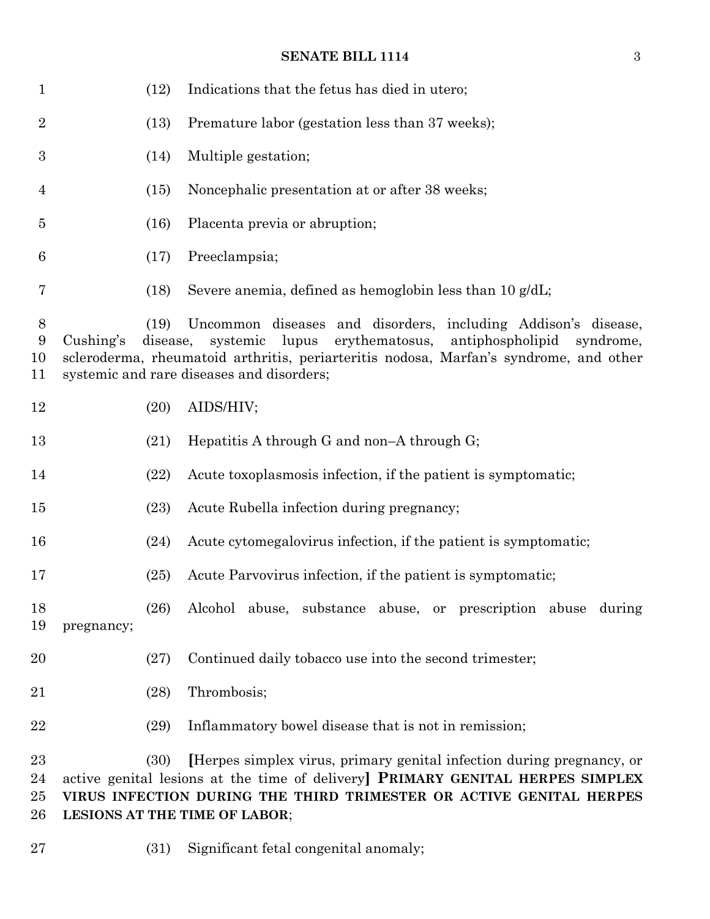# **SENATE BILL 1114** 3

| $\mathbf{1}$             |            | (12)             | Indications that the fetus has died in utero;                                                                                                                                                                                                                               |
|--------------------------|------------|------------------|-----------------------------------------------------------------------------------------------------------------------------------------------------------------------------------------------------------------------------------------------------------------------------|
| $\boldsymbol{2}$         |            | (13)             | Premature labor (gestation less than 37 weeks);                                                                                                                                                                                                                             |
| 3                        |            | (14)             | Multiple gestation;                                                                                                                                                                                                                                                         |
| $\overline{4}$           |            | (15)             | Noncephalic presentation at or after 38 weeks;                                                                                                                                                                                                                              |
| $\overline{5}$           |            | (16)             | Placenta previa or abruption;                                                                                                                                                                                                                                               |
| 6                        |            | (17)             | Preeclampsia;                                                                                                                                                                                                                                                               |
| 7                        |            | (18)             | Severe anemia, defined as hemoglobin less than 10 g/dL;                                                                                                                                                                                                                     |
| $8\,$<br>9<br>10<br>11   | Cushing's  | (19)<br>disease, | Uncommon diseases and disorders, including Addison's disease,<br>erythematosus,<br>antiphospholipid<br>systemic<br>lupus<br>syndrome,<br>scleroderma, rheumatoid arthritis, periarteritis nodosa, Marfan's syndrome, and other<br>systemic and rare diseases and disorders; |
| 12                       |            | (20)             | AIDS/HIV;                                                                                                                                                                                                                                                                   |
| 13                       |            | (21)             | Hepatitis A through G and non-A through $G$ ;                                                                                                                                                                                                                               |
| 14                       |            | (22)             | Acute toxoplasmosis infection, if the patient is symptomatic;                                                                                                                                                                                                               |
| 15                       |            | (23)             | Acute Rubella infection during pregnancy;                                                                                                                                                                                                                                   |
| 16                       |            | (24)             | Acute cytomegalovirus infection, if the patient is symptomatic;                                                                                                                                                                                                             |
| 17                       |            | (25)             | Acute Parvovirus infection, if the patient is symptomatic;                                                                                                                                                                                                                  |
| 18<br>19                 | pregnancy; | (26)             | Alcohol abuse, substance abuse, or prescription abuse during                                                                                                                                                                                                                |
| 20                       |            | (27)             | Continued daily tobacco use into the second trimester;                                                                                                                                                                                                                      |
| 21                       |            | (28)             | Thrombosis;                                                                                                                                                                                                                                                                 |
| 22                       |            | (29)             | Inflammatory bowel disease that is not in remission;                                                                                                                                                                                                                        |
| 23<br>24<br>$25\,$<br>26 |            | (30)             | [Herpes simplex virus, primary genital infection during pregnancy, or<br>active genital lesions at the time of delivery] PRIMARY GENITAL HERPES SIMPLEX<br>VIRUS INFECTION DURING THE THIRD TRIMESTER OR ACTIVE GENITAL HERPES<br><b>LESIONS AT THE TIME OF LABOR;</b>      |

(31) Significant fetal congenital anomaly;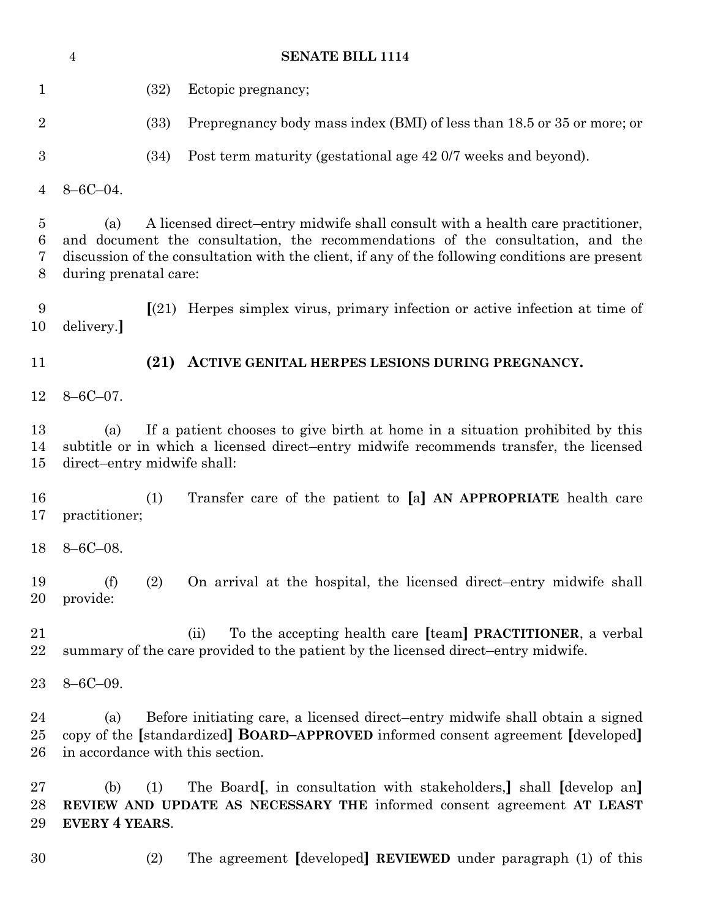|                  | $\sqrt{4}$                         |      | <b>SENATE BILL 1114</b>                                                                                                                                                                                                                                             |
|------------------|------------------------------------|------|---------------------------------------------------------------------------------------------------------------------------------------------------------------------------------------------------------------------------------------------------------------------|
| $\mathbf{1}$     |                                    | (32) | Ectopic pregnancy;                                                                                                                                                                                                                                                  |
| $\overline{2}$   |                                    | (33) | Prepregnancy body mass index (BMI) of less than 18.5 or 35 or more; or                                                                                                                                                                                              |
| 3                |                                    | (34) | Post term maturity (gestational age 42 0/7 weeks and beyond).                                                                                                                                                                                                       |
| 4                | $8 - 6C - 04$ .                    |      |                                                                                                                                                                                                                                                                     |
| 5<br>6<br>7<br>8 | (a)<br>during prenatal care:       |      | A licensed direct-entry midwife shall consult with a health care practitioner,<br>and document the consultation, the recommendations of the consultation, and the<br>discussion of the consultation with the client, if any of the following conditions are present |
| 9<br>10          | delivery.]                         |      | $\lceil(21) \rceil$ Herpes simplex virus, primary infection or active infection at time of                                                                                                                                                                          |
| 11               |                                    | (21) | ACTIVE GENITAL HERPES LESIONS DURING PREGNANCY.                                                                                                                                                                                                                     |
| 12               | $8 - 6C - 07$ .                    |      |                                                                                                                                                                                                                                                                     |
| 13<br>14<br>15   | (a)<br>direct-entry midwife shall: |      | If a patient chooses to give birth at home in a situation prohibited by this<br>subtitle or in which a licensed direct-entry midwife recommends transfer, the licensed                                                                                              |
| 16<br>17         | practitioner;                      | (1)  | Transfer care of the patient to [a] AN APPROPRIATE health care                                                                                                                                                                                                      |
| 18               | $8 - 6C - 08$ .                    |      |                                                                                                                                                                                                                                                                     |
| 19<br>20         | (f)<br>provide:                    | (2)  | On arrival at the hospital, the licensed direct-entry midwife shall                                                                                                                                                                                                 |
| 21<br>22         |                                    |      | To the accepting health care [team] PRACTITIONER, a verbal<br>(ii)<br>summary of the care provided to the patient by the licensed direct-entry midwife.                                                                                                             |
| 23               | $8 - 6C - 09.$                     |      |                                                                                                                                                                                                                                                                     |
| 24<br>25<br>26   | (a)                                |      | Before initiating care, a licensed direct-entry midwife shall obtain a signed<br>copy of the [standardized] <b>BOARD-APPROVED</b> informed consent agreement [developed]<br>in accordance with this section.                                                        |
| 27<br>28<br>29   | (b)<br><b>EVERY 4 YEARS.</b>       | (1)  | The Board, in consultation with stakeholders, shall (develop an)<br>REVIEW AND UPDATE AS NECESSARY THE informed consent agreement AT LEAST                                                                                                                          |
| 30               |                                    | (2)  | The agreement [developed] REVIEWED under paragraph (1) of this                                                                                                                                                                                                      |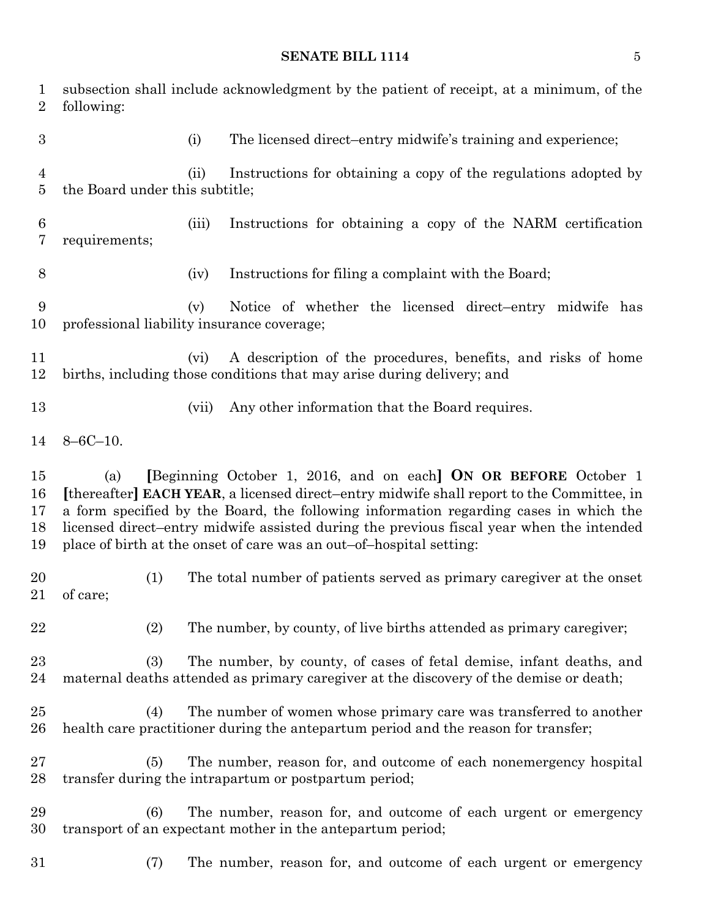### **SENATE BILL 1114** 5

| $\mathbf 1$<br>$\overline{2}$ | subsection shall include acknowledgment by the patient of receipt, at a minimum, of the<br>following:                                                                                                                                                                                                                                                                                                                           |
|-------------------------------|---------------------------------------------------------------------------------------------------------------------------------------------------------------------------------------------------------------------------------------------------------------------------------------------------------------------------------------------------------------------------------------------------------------------------------|
| $\boldsymbol{3}$              | The licensed direct-entry midwife's training and experience;<br>(i)                                                                                                                                                                                                                                                                                                                                                             |
| 4<br>5                        | Instructions for obtaining a copy of the regulations adopted by<br>(ii)<br>the Board under this subtitle;                                                                                                                                                                                                                                                                                                                       |
| 6<br>7                        | Instructions for obtaining a copy of the NARM certification<br>(iii)<br>requirements;                                                                                                                                                                                                                                                                                                                                           |
| 8                             | Instructions for filing a complaint with the Board;<br>(iv)                                                                                                                                                                                                                                                                                                                                                                     |
| 9<br>10                       | Notice of whether the licensed direct-entry midwife has<br>(v)<br>professional liability insurance coverage;                                                                                                                                                                                                                                                                                                                    |
| 11<br>12                      | A description of the procedures, benefits, and risks of home<br>(vi)<br>births, including those conditions that may arise during delivery; and                                                                                                                                                                                                                                                                                  |
| 13                            | (vii)<br>Any other information that the Board requires.                                                                                                                                                                                                                                                                                                                                                                         |
| 14                            | $8 - 6C - 10$ .                                                                                                                                                                                                                                                                                                                                                                                                                 |
| 15<br>16<br>17<br>18<br>19    | [Beginning October 1, 2016, and on each] ON OR BEFORE October 1<br>(a)<br>[thereafter] EACH YEAR, a licensed direct-entry midwife shall report to the Committee, in<br>a form specified by the Board, the following information regarding cases in which the<br>licensed direct-entry midwife assisted during the previous fiscal year when the intended<br>place of birth at the onset of care was an out-of-hospital setting: |
| 20<br>21                      | The total number of patients served as primary caregiver at the onset<br>(1)<br>of care;                                                                                                                                                                                                                                                                                                                                        |
| 22                            | (2)<br>The number, by county, of live births attended as primary caregiver;                                                                                                                                                                                                                                                                                                                                                     |
| 23<br>24                      | The number, by county, of cases of fetal demise, infant deaths, and<br>(3)<br>maternal deaths attended as primary caregiver at the discovery of the demise or death;                                                                                                                                                                                                                                                            |
| 25<br>$26\,$                  | The number of women whose primary care was transferred to another<br>(4)<br>health care practitioner during the antepartum period and the reason for transfer;                                                                                                                                                                                                                                                                  |
| $27\,$<br>28                  | The number, reason for, and outcome of each nonemergency hospital<br>(5)<br>transfer during the intrapartum or postpartum period;                                                                                                                                                                                                                                                                                               |
| 29<br>30                      | The number, reason for, and outcome of each urgent or emergency<br>(6)<br>transport of an expectant mother in the antepartum period;                                                                                                                                                                                                                                                                                            |
| 31                            | The number, reason for, and outcome of each urgent or emergency<br>(7)                                                                                                                                                                                                                                                                                                                                                          |